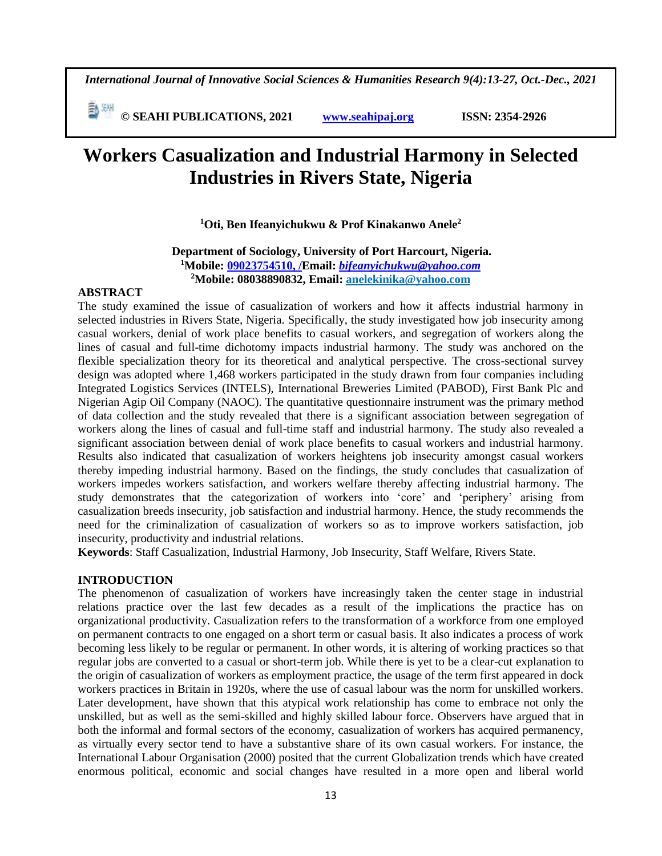*International Journal of Innovative Social Sciences & Humanities Research 9(4):13-27, Oct.-Dec., 2021*

 **© SEAHI PUBLICATIONS, 2021 [www.seahipaj.org](http://www.seahipaj.org/) ISSN: 2354-2926** 

# **Workers Casualization and Industrial Harmony in Selected Industries in Rivers State, Nigeria**

**<sup>1</sup>Oti, Ben Ifeanyichukwu & Prof Kinakanwo Anele<sup>2</sup>**

**Department of Sociology, University of Port Harcourt, Nigeria. <sup>1</sup>Mobile: 09023754510, /Email:** *[bifeanyichukwu@yahoo.com](mailto:bifeanyichukwu@yahoo.com)* **<sup>2</sup>Mobile: 08038890832, Email: anelekinika@yahoo.com**

# **ABSTRACT**

The study examined the issue of casualization of workers and how it affects industrial harmony in selected industries in Rivers State, Nigeria. Specifically, the study investigated how job insecurity among casual workers, denial of work place benefits to casual workers, and segregation of workers along the lines of casual and full-time dichotomy impacts industrial harmony. The study was anchored on the flexible specialization theory for its theoretical and analytical perspective. The cross-sectional survey design was adopted where 1,468 workers participated in the study drawn from four companies including Integrated Logistics Services (INTELS), International Breweries Limited (PABOD), First Bank Plc and Nigerian Agip Oil Company (NAOC). The quantitative questionnaire instrument was the primary method of data collection and the study revealed that there is a significant association between segregation of workers along the lines of casual and full-time staff and industrial harmony. The study also revealed a significant association between denial of work place benefits to casual workers and industrial harmony. Results also indicated that casualization of workers heightens job insecurity amongst casual workers thereby impeding industrial harmony. Based on the findings, the study concludes that casualization of workers impedes workers satisfaction, and workers welfare thereby affecting industrial harmony. The study demonstrates that the categorization of workers into 'core' and 'periphery' arising from casualization breeds insecurity, job satisfaction and industrial harmony. Hence, the study recommends the need for the criminalization of casualization of workers so as to improve workers satisfaction, job insecurity, productivity and industrial relations.

**Keywords**: Staff Casualization, Industrial Harmony, Job Insecurity, Staff Welfare, Rivers State.

# **INTRODUCTION**

The phenomenon of casualization of workers have increasingly taken the center stage in industrial relations practice over the last few decades as a result of the implications the practice has on organizational productivity. Casualization refers to the transformation of a workforce from one employed on permanent contracts to one engaged on a short term or casual basis. It also indicates a process of work becoming less likely to be regular or permanent. In other words, it is altering of working practices so that regular jobs are converted to a casual or short-term job. While there is yet to be a clear-cut explanation to the origin of casualization of workers as employment practice, the usage of the term first appeared in dock workers practices in Britain in 1920s, where the use of casual labour was the norm for unskilled workers. Later development, have shown that this atypical work relationship has come to embrace not only the unskilled, but as well as the semi-skilled and highly skilled labour force. Observers have argued that in both the informal and formal sectors of the economy, casualization of workers has acquired permanency, as virtually every sector tend to have a substantive share of its own casual workers. For instance, the International Labour Organisation (2000) posited that the current Globalization trends which have created enormous political, economic and social changes have resulted in a more open and liberal world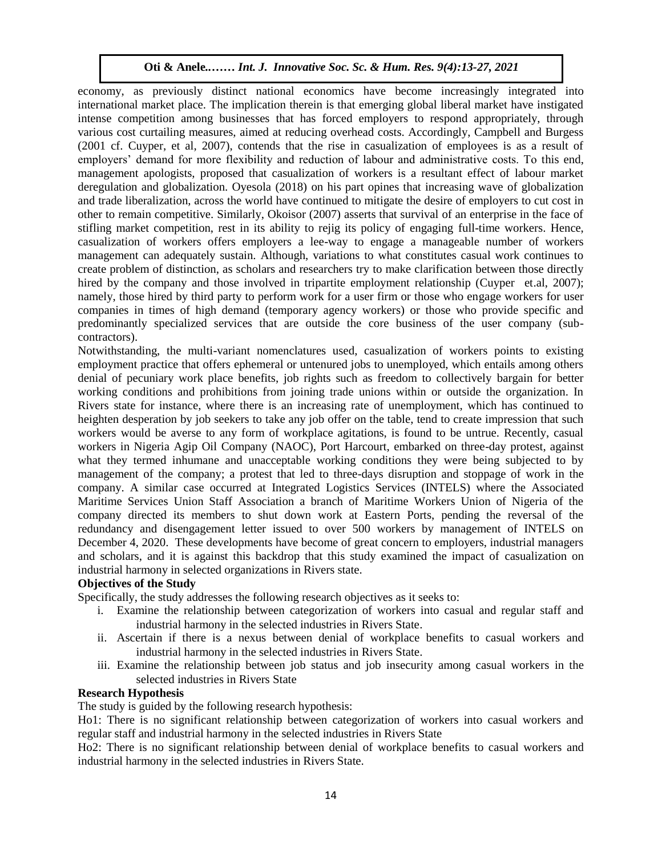economy, as previously distinct national economics have become increasingly integrated into international market place. The implication therein is that emerging global liberal market have instigated intense competition among businesses that has forced employers to respond appropriately, through various cost curtailing measures, aimed at reducing overhead costs. Accordingly, Campbell and Burgess (2001 cf. Cuyper, et al, 2007), contends that the rise in casualization of employees is as a result of employers' demand for more flexibility and reduction of labour and administrative costs. To this end, management apologists, proposed that casualization of workers is a resultant effect of labour market deregulation and globalization. Oyesola (2018) on his part opines that increasing wave of globalization and trade liberalization, across the world have continued to mitigate the desire of employers to cut cost in other to remain competitive. Similarly, Okoisor (2007) asserts that survival of an enterprise in the face of stifling market competition, rest in its ability to rejig its policy of engaging full-time workers. Hence, casualization of workers offers employers a lee-way to engage a manageable number of workers management can adequately sustain. Although, variations to what constitutes casual work continues to create problem of distinction, as scholars and researchers try to make clarification between those directly hired by the company and those involved in tripartite employment relationship (Cuyper et.al, 2007); namely, those hired by third party to perform work for a user firm or those who engage workers for user companies in times of high demand (temporary agency workers) or those who provide specific and predominantly specialized services that are outside the core business of the user company (subcontractors).  $\text{C}(\text{Cross}).$ 

Notwithstanding, the multi-variant nomenclatures used, casualization of workers points to existing employment practice that offers ephemeral or untenured jobs to unemployed, which entails among others denial of pecuniary work place benefits, job rights such as freedom to collectively bargain for better working conditions and prohibitions from joining trade unions within or outside the organization. In Rivers state for instance, where there is an increasing rate of unemployment, which has continued to heighten desperation by job seekers to take any job offer on the table, tend to create impression that such workers would be averse to any form of workplace agitations, is found to be untrue. Recently, casual workers in Nigeria Agip Oil Company (NAOC), Port Harcourt, embarked on three-day protest, against what they termed inhumane and unacceptable working conditions they were being subjected to by management of the company; a protest that led to three-days disruption and stoppage of work in the company. A similar case occurred at Integrated Logistics Services (INTELS) where the Associated Maritime Services Union Staff Association a branch of Maritime Workers Union of Nigeria of the company directed its members to shut down work at Eastern Ports, pending the reversal of the redundancy and disengagement letter issued to over 500 workers by management of INTELS on December 4, 2020. These developments have become of great concern to employers, industrial managers and scholars, and it is against this backdrop that this study examined the impact of casualization on industrial harmony in selected organizations in Rivers state.

# **Objectives of the Study**

Specifically, the study addresses the following research objectives as it seeks to:

- i. Examine the relationship between categorization of workers into casual and regular staff and industrial harmony in the selected industries in Rivers State.
- ii. Ascertain if there is a nexus between denial of workplace benefits to casual workers and industrial harmony in the selected industries in Rivers State.
- iii. Examine the relationship between job status and job insecurity among casual workers in the selected industries in Rivers State

### **Research Hypothesis**

The study is guided by the following research hypothesis:

Ho1: There is no significant relationship between categorization of workers into casual workers and regular staff and industrial harmony in the selected industries in Rivers State

Ho2: There is no significant relationship between denial of workplace benefits to casual workers and industrial harmony in the selected industries in Rivers State.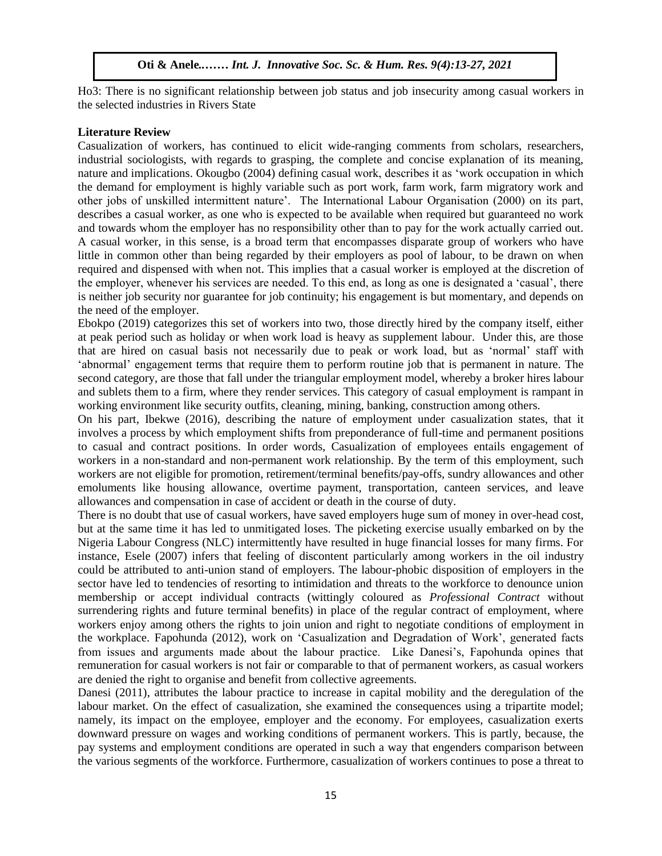Ho3: There is no significant relationship between job status and job insecurity among casual workers in the selected industries in Rivers State

### **Literature Review**

Casualization of workers, has continued to elicit wide-ranging comments from scholars, researchers, industrial sociologists, with regards to grasping, the complete and concise explanation of its meaning, nature and implications. Okougbo (2004) defining casual work, describes it as 'work occupation in which the demand for employment is highly variable such as port work, farm work, farm migratory work and other jobs of unskilled intermittent nature'. The International Labour Organisation (2000) on its part, describes a casual worker, as one who is expected to be available when required but guaranteed no work and towards whom the employer has no responsibility other than to pay for the work actually carried out. A casual worker, in this sense, is a broad term that encompasses disparate group of workers who have little in common other than being regarded by their employers as pool of labour, to be drawn on when required and dispensed with when not. This implies that a casual worker is employed at the discretion of the employer, whenever his services are needed. To this end, as long as one is designated a 'casual', there is neither job security nor guarantee for job continuity; his engagement is but momentary, and depends on the need of the employer.

Ebokpo (2019) categorizes this set of workers into two, those directly hired by the company itself, either at peak period such as holiday or when work load is heavy as supplement labour. Under this, are those that are hired on casual basis not necessarily due to peak or work load, but as 'normal' staff with 'abnormal' engagement terms that require them to perform routine job that is permanent in nature. The second category, are those that fall under the triangular employment model, whereby a broker hires labour and sublets them to a firm, where they render services. This category of casual employment is rampant in working environment like security outfits, cleaning, mining, banking, construction among others.

On his part, Ibekwe (2016), describing the nature of employment under casualization states, that it involves a process by which employment shifts from preponderance of full-time and permanent positions to casual and contract positions. In order words, Casualization of employees entails engagement of workers in a non-standard and non-permanent work relationship. By the term of this employment, such workers are not eligible for promotion, retirement/terminal benefits/pay-offs, sundry allowances and other emoluments like housing allowance, overtime payment, transportation, canteen services, and leave allowances and compensation in case of accident or death in the course of duty.

There is no doubt that use of casual workers, have saved employers huge sum of money in over-head cost, but at the same time it has led to unmitigated loses. The picketing exercise usually embarked on by the Nigeria Labour Congress (NLC) intermittently have resulted in huge financial losses for many firms. For instance, Esele (2007) infers that feeling of discontent particularly among workers in the oil industry could be attributed to anti-union stand of employers. The labour-phobic disposition of employers in the sector have led to tendencies of resorting to intimidation and threats to the workforce to denounce union membership or accept individual contracts (wittingly coloured as *Professional Contract* without surrendering rights and future terminal benefits) in place of the regular contract of employment, where workers enjoy among others the rights to join union and right to negotiate conditions of employment in the workplace. Fapohunda (2012), work on 'Casualization and Degradation of Work', generated facts from issues and arguments made about the labour practice. Like Danesi's, Fapohunda opines that remuneration for casual workers is not fair or comparable to that of permanent workers, as casual workers are denied the right to organise and benefit from collective agreements.

Danesi (2011), attributes the labour practice to increase in capital mobility and the deregulation of the labour market. On the effect of casualization, she examined the consequences using a tripartite model; namely, its impact on the employee, employer and the economy. For employees, casualization exerts downward pressure on wages and working conditions of permanent workers. This is partly, because, the pay systems and employment conditions are operated in such a way that engenders comparison between the various segments of the workforce. Furthermore, casualization of workers continues to pose a threat to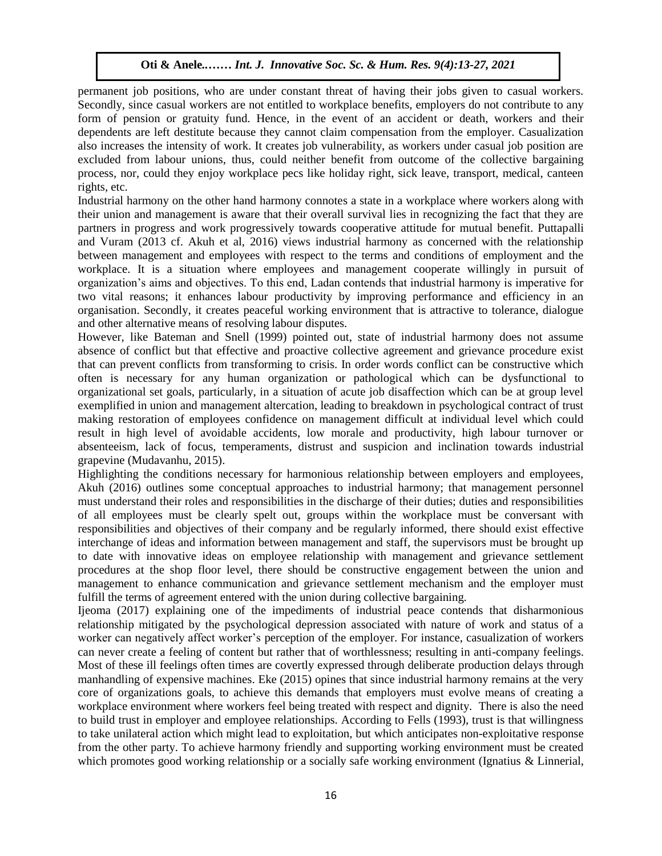permanent job positions, who are under constant threat of having their jobs given to casual workers. Secondly, since casual workers are not entitled to workplace benefits, employers do not contribute to any form of pension or gratuity fund. Hence, in the event of an accident or death, workers and their dependents are left destitute because they cannot claim compensation from the employer. Casualization also increases the intensity of work. It creates job vulnerability, as workers under casual job position are excluded from labour unions, thus, could neither benefit from outcome of the collective bargaining process, nor, could they enjoy workplace pecs like holiday right, sick leave, transport, medical, canteen rights, etc.

Industrial harmony on the other hand harmony connotes a state in a workplace where workers along with their union and management is aware that their overall survival lies in recognizing the fact that they are partners in progress and work progressively towards cooperative attitude for mutual benefit. Puttapalli and Vuram (2013 cf. Akuh et al, 2016) views industrial harmony as concerned with the relationship between management and employees with respect to the terms and conditions of employment and the workplace. It is a situation where employees and management cooperate willingly in pursuit of organization's aims and objectives. To this end, Ladan contends that industrial harmony is imperative for two vital reasons; it enhances labour productivity by improving performance and efficiency in an organisation. Secondly, it creates peaceful working environment that is attractive to tolerance, dialogue and other alternative means of resolving labour disputes.

However, like Bateman and Snell (1999) pointed out, state of industrial harmony does not assume absence of conflict but that effective and proactive collective agreement and grievance procedure exist that can prevent conflicts from transforming to crisis. In order words conflict can be constructive which often is necessary for any human organization or pathological which can be dysfunctional to organizational set goals, particularly, in a situation of acute job disaffection which can be at group level exemplified in union and management altercation, leading to breakdown in psychological contract of trust making restoration of employees confidence on management difficult at individual level which could result in high level of avoidable accidents, low morale and productivity, high labour turnover or absenteeism, lack of focus, temperaments, distrust and suspicion and inclination towards industrial grapevine (Mudavanhu, 2015).

Highlighting the conditions necessary for harmonious relationship between employers and employees, Akuh (2016) outlines some conceptual approaches to industrial harmony; that management personnel must understand their roles and responsibilities in the discharge of their duties; duties and responsibilities of all employees must be clearly spelt out, groups within the workplace must be conversant with responsibilities and objectives of their company and be regularly informed, there should exist effective interchange of ideas and information between management and staff, the supervisors must be brought up to date with innovative ideas on employee relationship with management and grievance settlement procedures at the shop floor level, there should be constructive engagement between the union and management to enhance communication and grievance settlement mechanism and the employer must fulfill the terms of agreement entered with the union during collective bargaining.

Ijeoma (2017) explaining one of the impediments of industrial peace contends that disharmonious relationship mitigated by the psychological depression associated with nature of work and status of a worker can negatively affect worker's perception of the employer. For instance, casualization of workers can never create a feeling of content but rather that of worthlessness; resulting in anti-company feelings. Most of these ill feelings often times are covertly expressed through deliberate production delays through manhandling of expensive machines. Eke (2015) opines that since industrial harmony remains at the very core of organizations goals, to achieve this demands that employers must evolve means of creating a workplace environment where workers feel being treated with respect and dignity. There is also the need to build trust in employer and employee relationships. According to Fells (1993), trust is that willingness to take unilateral action which might lead to exploitation, but which anticipates non-exploitative response from the other party. To achieve harmony friendly and supporting working environment must be created which promotes good working relationship or a socially safe working environment (Ignatius & Linnerial,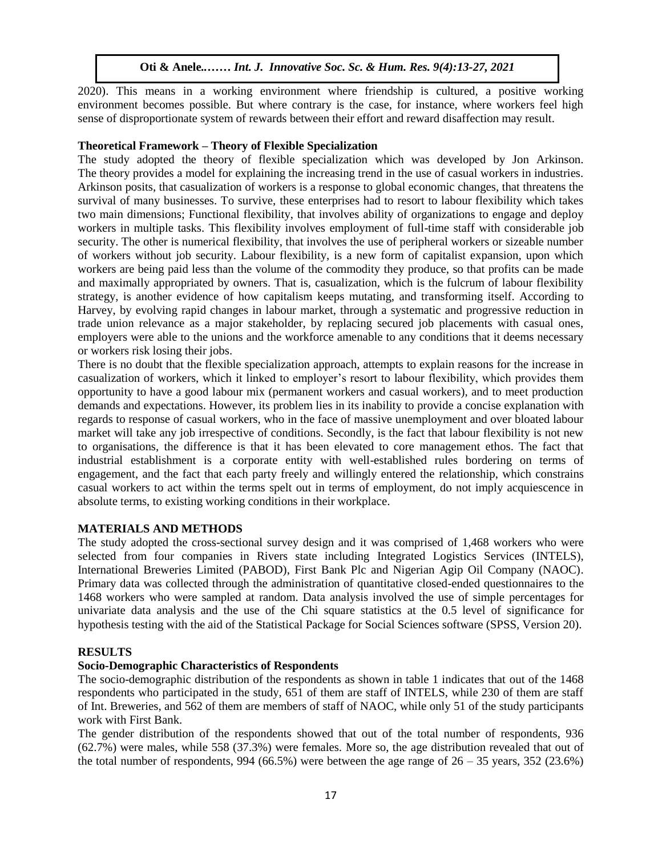2020). This means in a working environment where friendship is cultured, a positive working environment becomes possible. But where contrary is the case, for instance, where workers feel high sense of disproportionate system of rewards between their effort and reward disaffection may result.

# **Theoretical Framework – Theory of Flexible Specialization**

The study adopted the theory of flexible specialization which was developed by Jon Arkinson. The theory provides a model for explaining the increasing trend in the use of casual workers in industries. Arkinson posits, that casualization of workers is a response to global economic changes, that threatens the survival of many businesses. To survive, these enterprises had to resort to labour flexibility which takes two main dimensions; Functional flexibility, that involves ability of organizations to engage and deploy workers in multiple tasks. This flexibility involves employment of full-time staff with considerable job security. The other is numerical flexibility, that involves the use of peripheral workers or sizeable number of workers without job security. Labour flexibility, is a new form of capitalist expansion, upon which workers are being paid less than the volume of the commodity they produce, so that profits can be made and maximally appropriated by owners. That is, casualization, which is the fulcrum of labour flexibility strategy, is another evidence of how capitalism keeps mutating, and transforming itself. According to Harvey, by evolving rapid changes in labour market, through a systematic and progressive reduction in trade union relevance as a major stakeholder, by replacing secured job placements with casual ones, employers were able to the unions and the workforce amenable to any conditions that it deems necessary or workers risk losing their jobs.

There is no doubt that the flexible specialization approach, attempts to explain reasons for the increase in casualization of workers, which it linked to employer's resort to labour flexibility, which provides them opportunity to have a good labour mix (permanent workers and casual workers), and to meet production demands and expectations. However, its problem lies in its inability to provide a concise explanation with regards to response of casual workers, who in the face of massive unemployment and over bloated labour market will take any job irrespective of conditions. Secondly, is the fact that labour flexibility is not new to organisations, the difference is that it has been elevated to core management ethos. The fact that industrial establishment is a corporate entity with well-established rules bordering on terms of engagement, and the fact that each party freely and willingly entered the relationship, which constrains casual workers to act within the terms spelt out in terms of employment, do not imply acquiescence in absolute terms, to existing working conditions in their workplace.

# **MATERIALS AND METHODS**

The study adopted the cross-sectional survey design and it was comprised of 1,468 workers who were selected from four companies in Rivers state including Integrated Logistics Services (INTELS), International Breweries Limited (PABOD), First Bank Plc and Nigerian Agip Oil Company (NAOC). Primary data was collected through the administration of quantitative closed-ended questionnaires to the 1468 workers who were sampled at random. Data analysis involved the use of simple percentages for univariate data analysis and the use of the Chi square statistics at the 0.5 level of significance for hypothesis testing with the aid of the Statistical Package for Social Sciences software (SPSS, Version 20).

# **RESULTS**

# **Socio-Demographic Characteristics of Respondents**

The socio-demographic distribution of the respondents as shown in table 1 indicates that out of the 1468 respondents who participated in the study, 651 of them are staff of INTELS, while 230 of them are staff of Int. Breweries, and 562 of them are members of staff of NAOC, while only 51 of the study participants work with First Bank.

The gender distribution of the respondents showed that out of the total number of respondents, 936 (62.7%) were males, while 558 (37.3%) were females. More so, the age distribution revealed that out of the total number of respondents, 994 (66.5%) were between the age range of  $26 - 35$  years, 352 (23.6%)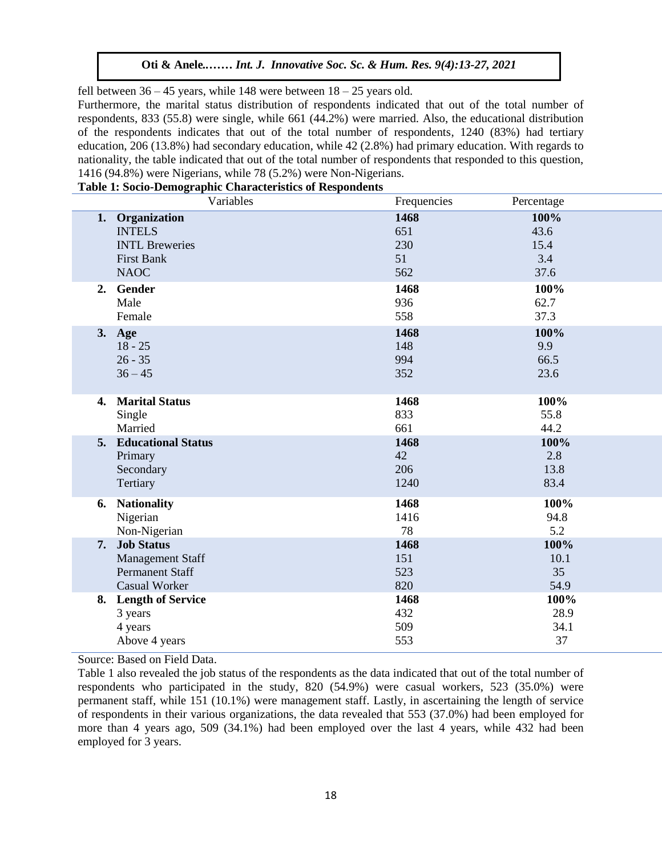fell between  $36 - 45$  years, while 148 were between  $18 - 25$  years old.

Furthermore, the marital status distribution of respondents indicated that out of the total number of respondents, 833 (55.8) were single, while 661 (44.2%) were married. Also, the educational distribution of the respondents indicates that out of the total number of respondents, 1240 (83%) had tertiary education, 206 (13.8%) had secondary education, while 42 (2.8%) had primary education. With regards to nationality, the table indicated that out of the total number of respondents that responded to this question, 1416 (94.8%) were Nigerians, while 78 (5.2%) were Non-Nigerians.

|    | Variables                    | Frequencies | Percentage |
|----|------------------------------|-------------|------------|
|    | 1. Organization              | 1468        | 100%       |
|    | <b>INTELS</b>                | 651         | 43.6       |
|    | <b>INTL Breweries</b>        | 230         | 15.4       |
|    | <b>First Bank</b>            | 51          | 3.4        |
|    | <b>NAOC</b>                  | 562         | 37.6       |
| 2. | Gender                       | 1468        | 100%       |
|    | Male                         | 936         | 62.7       |
|    | Female                       | 558         | 37.3       |
|    | 3. Age                       | 1468        | 100%       |
|    | $18 - 25$                    | 148         | 9.9        |
|    | $26 - 35$                    | 994         | 66.5       |
|    | $36 - 45$                    | 352         | 23.6       |
| 4. | <b>Marital Status</b>        | 1468        | 100%       |
|    | Single                       | 833         | 55.8       |
|    | Married                      | 661         | 44.2       |
|    | <b>5. Educational Status</b> | 1468        | 100%       |
|    | Primary                      | 42          | 2.8        |
|    | Secondary                    | 206         | 13.8       |
|    | Tertiary                     | 1240        | 83.4       |
| 6. | <b>Nationality</b>           | 1468        | 100%       |
|    | Nigerian                     | 1416        | 94.8       |
|    | Non-Nigerian                 | 78          | 5.2        |
| 7. | <b>Job Status</b>            | 1468        | 100%       |
|    | <b>Management Staff</b>      | 151         | 10.1       |
|    | <b>Permanent Staff</b>       | 523         | 35         |
|    | <b>Casual Worker</b>         | 820         | 54.9       |
|    | 8. Length of Service         | 1468        | 100%       |
|    | 3 years                      | 432         | 28.9       |
|    | 4 years                      | 509         | 34.1       |
|    | Above 4 years                | 553         | 37         |

Source: Based on Field Data.

Table 1 also revealed the job status of the respondents as the data indicated that out of the total number of respondents who participated in the study, 820 (54.9%) were casual workers, 523 (35.0%) were permanent staff, while 151 (10.1%) were management staff. Lastly, in ascertaining the length of service of respondents in their various organizations, the data revealed that 553 (37.0%) had been employed for more than 4 years ago, 509 (34.1%) had been employed over the last 4 years, while 432 had been employed for 3 years.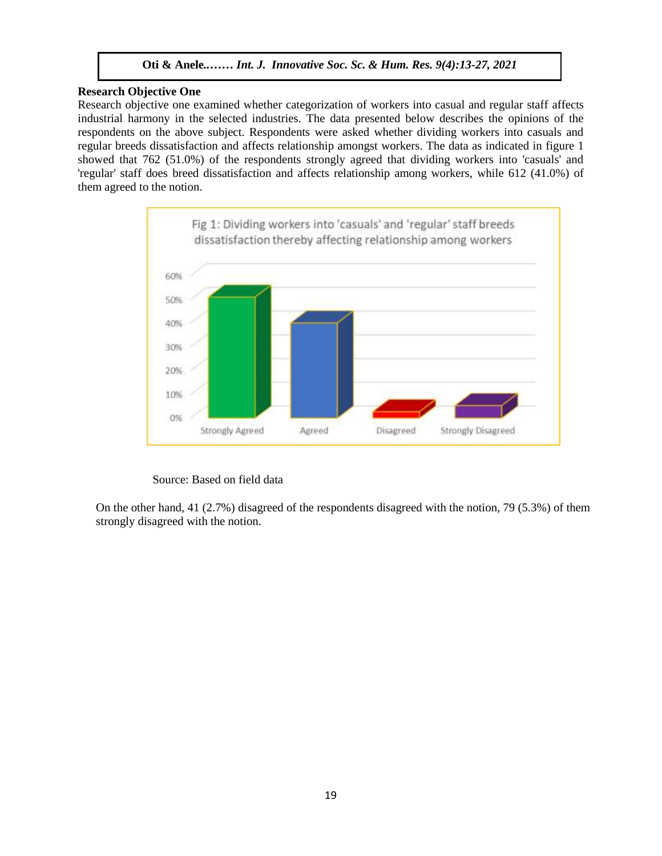### **Research Objective One**

Research objective one examined whether categorization of workers into casual and regular staff affects industrial harmony in the selected industries. The data presented below describes the opinions of the respondents on the above subject. Respondents were asked whether dividing workers into casuals and regular breeds dissatisfaction and affects relationship amongst workers. The data as indicated in figure 1 showed that 762 (51.0%) of the respondents strongly agreed that dividing workers into 'casuals' and 'regular' staff does breed dissatisfaction and affects relationship among workers, while 612 (41.0%) of them agreed to the notion.



### Source: Based on field data

On the other hand, 41 (2.7%) disagreed of the respondents disagreed with the notion, 79 (5.3%) of them strongly disagreed with the notion.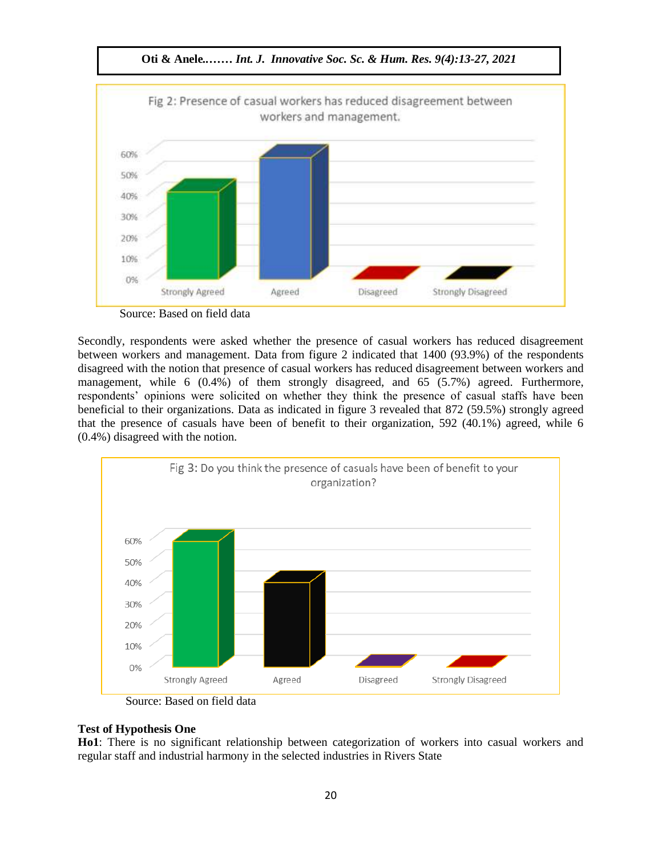

Source: Based on field data

Secondly, respondents were asked whether the presence of casual workers has reduced disagreement between workers and management. Data from figure 2 indicated that 1400 (93.9%) of the respondents disagreed with the notion that presence of casual workers has reduced disagreement between workers and management, while 6 (0.4%) of them strongly disagreed, and 65 (5.7%) agreed. Furthermore, management, while  $\sigma$  (0.4%) of them strongly disagreed, and  $\sigma$  (0.4%) agreed. Furthermore, respondents' opinions were solicited on whether they think the presence of casual staffs have been beneficial to their organizations. Data as indicated in figure 3 revealed that 872 (59.5%) strongly agreed that the presence of casuals have been of benefit to their organization, 592 (40.1%) agreed, while 6  $(0.4\%)$  disagreed with the notion.



Source: Based on field data

# **Test of Hypothesis One**

**Ho1**: There is no significant relationship between categorization of workers into casual workers and regular staff and industrial harmony in the selected industries in Rivers State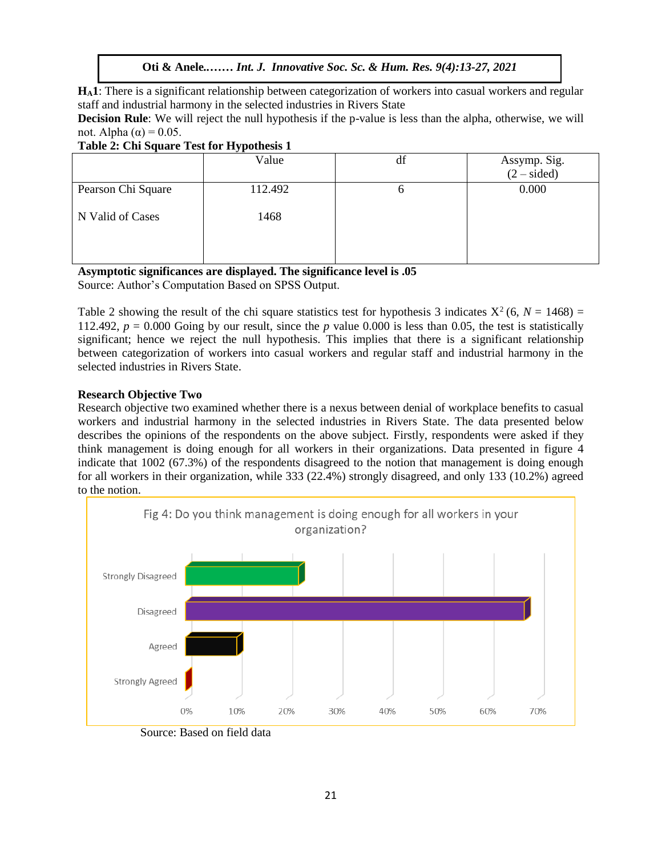**HA1**: There is a significant relationship between categorization of workers into casual workers and regular staff and industrial harmony in the selected industries in Rivers State

**Decision Rule**: We will reject the null hypothesis if the p-value is less than the alpha, otherwise, we will not. Alpha (α) = 0.05.

# **Table 2: Chi Square Test for Hypothesis 1**

|                    | Value   | df | Assymp. Sig.<br>$(2 - \text{sided})$ |
|--------------------|---------|----|--------------------------------------|
| Pearson Chi Square | 112.492 | O  | 0.000                                |
| N Valid of Cases   | 1468    |    |                                      |
|                    |         |    |                                      |

**Asymptotic significances are displayed. The significance level is .05** Source: Author's Computation Based on SPSS Output.

Table 2 showing the result of the chi square statistics test for hypothesis 3 indicates  $X^2(6, N = 1468) =$ 112.492,  $p = 0.000$  Going by our result, since the p value 0.000 is less than 0.05, the test is statistically significant; hence we reject the null hypothesis. This implies that there is a significant relationship between categorization of workers into casual workers and regular staff and industrial harmony in the selected industries in Rivers State.

# **Research Objective Two**

Research objective two examined whether there is a nexus between denial of workplace benefits to casual workers and industrial harmony in the selected industries in Rivers State. The data presented below describes the opinions of the respondents on the above subject. Firstly, respondents were asked if they think management is doing enough for all workers in their organizations. Data presented in figure 4 indicate that 1002 (67.3%) of the respondents disagreed to the notion that management is doing enough for all workers in their organization, while 333 (22.4%) strongly disagreed, and only 133 (10.2%) agreed to the notion.



Source: Based on field data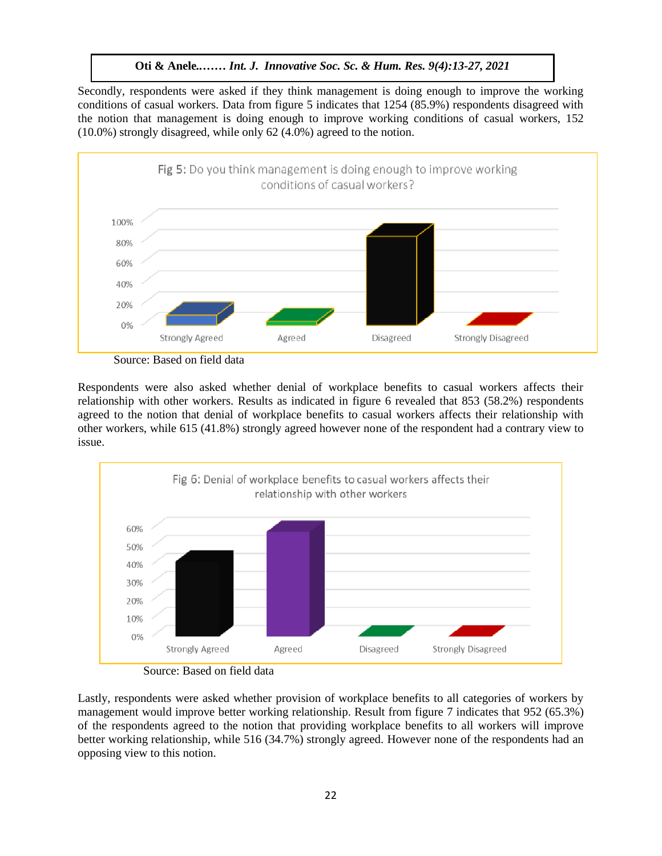**Oti & Anele***..…… Int. J. Innovative Soc. Sc. & Hum. Res. 9(4):13-27, 2021*

Secondly, respondents were asked if they think management is doing enough to improve the working conditions of casual workers. Data from figure 5 indicates that 1254 (85.9%) respondents disagreed with the notion that management is doing enough to improve working conditions of casual workers, 152 (10.0%) strongly disagreed, while only 62 (4.0%) agreed to the notion.



Source: Based on field data

Respondents were also asked whether denial of workplace benefits to casual workers affects their relationship with other workers. Results as indicated in figure 6 revealed that 853 (58.2%) respondents agreed to the notion that denial of workplace benefits to casual workers affects their relationship with other workers, while 615 (41.8%) strongly agreed however none of the respondent had a contrary view to issue.





Lastly, respondents were asked whether provision of workplace benefits to all categories of workers by management would improve better working relationship. Result from figure 7 indicates that 952 (65.3%) of the respondents agreed to the notion that providing workplace benefits to all workers will improve better working relationship, while 516 (34.7%) strongly agreed. However none of the respondents had an opposing view to this notion.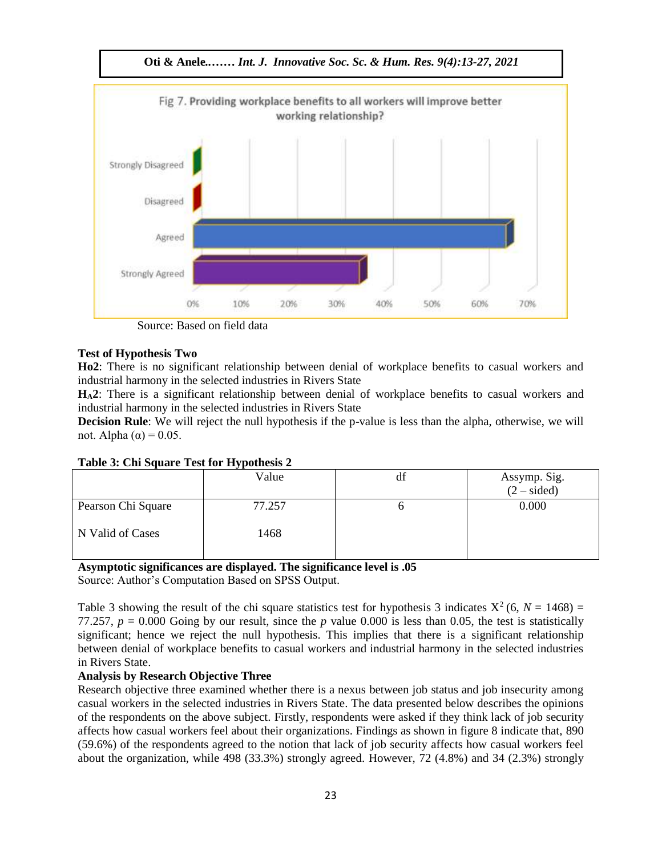

Source: Based on field data

# **Test of Hypothesis Two**

**Ho2**: There is no significant relationship between denial of workplace benefits to casual workers and industrial harmony in the selected industries in Rivers State

H<sub>A</sub>2: There is a significant relationship between denial of workplace benefits to casual workers and industrial harmony in the selected industries in Rivers State

**Decision Rule**: We will reject the null hypothesis if the p-value is less than the alpha, otherwise, we will not. Alpha (α) = 0.05. Arugu & Wosu …… Int. J. Innovative Soc. Sc. & Hum. Res. 8(1):1-11, 2020

|                    | Value  | ai | Assymp. Sig.<br>$(2 - sided)$ |
|--------------------|--------|----|-------------------------------|
| Pearson Chi Square | 77.257 |    | 0.000                         |
| N Valid of Cases   | 1468   |    |                               |

# **Table 3: Chi Square Test for Hypothesis 2**

# **Asymptotic significances are displayed. The significance level is .05**

Source: Author's Computation Based on SPSS Output.

Table 3 showing the result of the chi square statistics test for hypothesis 3 indicates  $X^2$  (6,  $N = 1468$ ) = 77.257,  $p = 0.000$  Going by our result, since the *p* value 0.000 is less than 0.05, the test is statistically significant; hence we reject the null hypothesis. This implies that there is a significant relationship between denial of workplace benefits to casual workers and industrial harmony in the selected industries in Rivers State.

# **Analysis by Research Objective Three**

Research objective three examined whether there is a nexus between job status and job insecurity among casual workers in the selected industries in Rivers State. The data presented below describes the opinions of the respondents on the above subject. Firstly, respondents were asked if they think lack of job security affects how casual workers feel about their organizations. Findings as shown in figure 8 indicate that, 890 (59.6%) of the respondents agreed to the notion that lack of job security affects how casual workers feel about the organization, while 498 (33.3%) strongly agreed. However, 72 (4.8%) and 34 (2.3%) strongly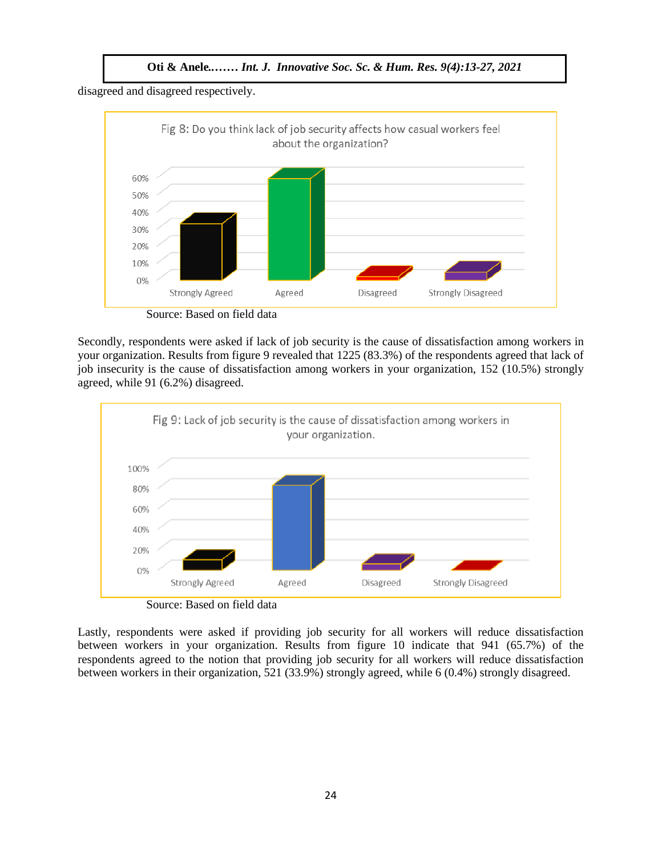**Oti & Anele***..…… Int. J. Innovative Soc. Sc. & Hum. Res. 9(4):13-27, 2021*

disagreed and disagreed respectively.



Source: Based on field data

Secondly, respondents were asked if lack of job security is the cause of dissatisfaction among workers in your organization. Results from figure 9 revealed that 1225 (83.3%) of the respondents agreed that lack of job insecurity is the cause of dissatisfaction among workers in your organization, 152 (10.5%) strongly agreed, while 91 (6.2%) disagreed.



Source: Based on field data

Lastly, respondents were asked if providing job security for all workers will reduce dissatisfaction between workers in your organization. Results from figure 10 indicate that 941 (65.7%) of the respondents agreed to the notion that providing job security for all workers will reduce dissatisfaction between workers in their organization, 521 (33.9%) strongly agreed, while 6 (0.4%) strongly disagreed.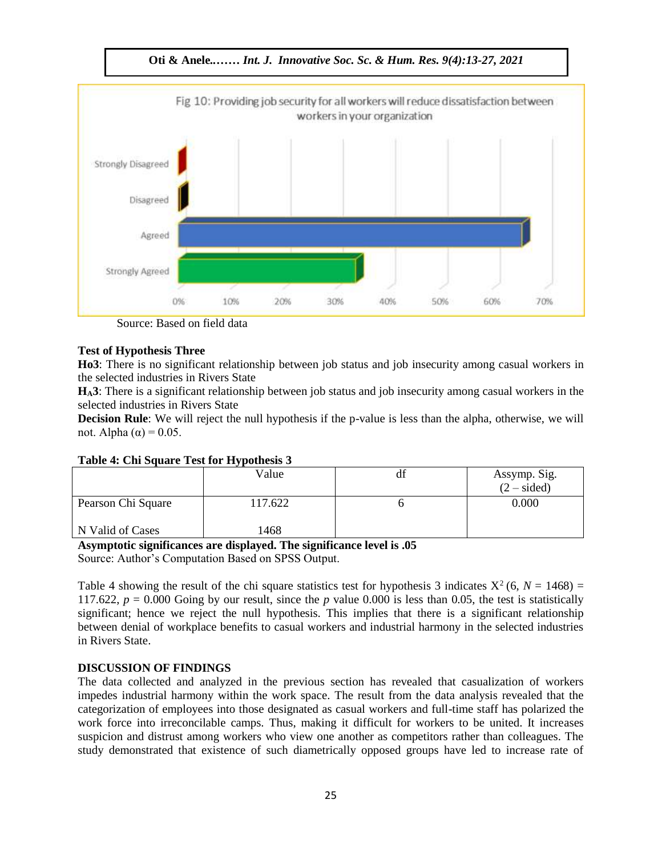

Source: Based on field data

### **Test of Hypothesis Three**

**Ho3**: There is no significant relationship between job status and job insecurity among casual workers in the selected industries in Rivers State

 $H_A$ 3: There is a significant relationship between job status and job insecurity among casual workers in the selected industries in Rivers State

**Decision Rule**: We will reject the null hypothesis if the p-value is less than the alpha, otherwise, we will not. Alpha (α) = 0.05.

| $\frac{1}{2}$ and $\frac{1}{2}$ and $\frac{1}{2}$ and $\frac{1}{2}$ and $\frac{1}{2}$ and $\frac{1}{2}$ and $\frac{1}{2}$ and $\frac{1}{2}$ and $\frac{1}{2}$ and $\frac{1}{2}$ and $\frac{1}{2}$ and $\frac{1}{2}$ and $\frac{1}{2}$ and $\frac{1}{2}$ and $\frac{1}{2}$ and $\frac{1}{2}$ a |         |    |                                      |  |  |  |
|-----------------------------------------------------------------------------------------------------------------------------------------------------------------------------------------------------------------------------------------------------------------------------------------------|---------|----|--------------------------------------|--|--|--|
|                                                                                                                                                                                                                                                                                               | Value   | df | Assymp. Sig.<br>$(2 - \text{sided})$ |  |  |  |
| Pearson Chi Square                                                                                                                                                                                                                                                                            | 117.622 |    | 0.000                                |  |  |  |
| N Valid of Cases                                                                                                                                                                                                                                                                              | 1468    |    |                                      |  |  |  |

# **Table 4: Chi Square Test for Hypothesis 3**

### **Asymptotic significances are displayed. The significance level is .05**

Source: Author's Computation Based on SPSS Output.

Table 4 showing the result of the chi square statistics test for hypothesis 3 indicates  $X^2$  (6,  $N = 1468$ ) = 117.622,  $p = 0.000$  Going by our result, since the  $p$  value 0.000 is less than 0.05, the test is statistically significant; hence we reject the null hypothesis. This implies that there is a significant relationship between denial of workplace benefits to casual workers and industrial harmony in the selected industries in Rivers State.

# **DISCUSSION OF FINDINGS**

The data collected and analyzed in the previous section has revealed that casualization of workers impedes industrial harmony within the work space. The result from the data analysis revealed that the categorization of employees into those designated as casual workers and full-time staff has polarized the work force into irreconcilable camps. Thus, making it difficult for workers to be united. It increases suspicion and distrust among workers who view one another as competitors rather than colleagues. The study demonstrated that existence of such diametrically opposed groups have led to increase rate of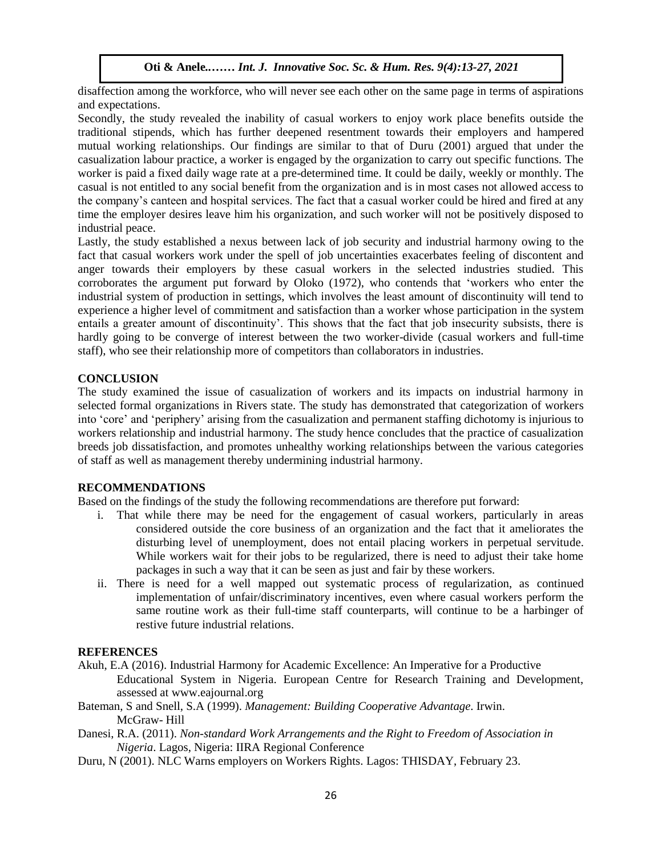disaffection among the workforce, who will never see each other on the same page in terms of aspirations and expectations.

Secondly, the study revealed the inability of casual workers to enjoy work place benefits outside the traditional stipends, which has further deepened resentment towards their employers and hampered mutual working relationships. Our findings are similar to that of Duru (2001) argued that under the casualization labour practice, a worker is engaged by the organization to carry out specific functions. The worker is paid a fixed daily wage rate at a pre-determined time. It could be daily, weekly or monthly. The casual is not entitled to any social benefit from the organization and is in most cases not allowed access to the company's canteen and hospital services. The fact that a casual worker could be hired and fired at any time the employer desires leave him his organization, and such worker will not be positively disposed to industrial peace.  $\blacksquare$  Trail peace.

Lastly, the study established a nexus between lack of job security and industrial harmony owing to the fact that casual workers work under the spell of job uncertainties exacerbates feeling of discontent and anger towards their employers by these casual workers in the selected industries studied. This corroborates the argument put forward by Oloko (1972), who contends that 'workers who enter the industrial system of production in settings, which involves the least amount of discontinuity will tend to experience a higher level of commitment and satisfaction than a worker whose participation in the system entails a greater amount of discontinuity'. This shows that the fact that job insecurity subsists, there is hardly going to be converge of interest between the two worker-divide (casual workers and full-time staff), who see their relationship more of competitors than collaborators in industries.

### **CONCLUSION**

The study examined the issue of casualization of workers and its impacts on industrial harmony in selected formal organizations in Rivers state. The study has demonstrated that categorization of workers into 'core' and 'periphery' arising from the casualization and permanent staffing dichotomy is injurious to workers relationship and industrial harmony. The study hence concludes that the practice of casualization breeds job dissatisfaction, and promotes unhealthy working relationships between the various categories of staff as well as management thereby undermining industrial harmony.

### **RECOMMENDATIONS**

Based on the findings of the study the following recommendations are therefore put forward:

- i. That while there may be need for the engagement of casual workers, particularly in areas considered outside the core business of an organization and the fact that it ameliorates the disturbing level of unemployment, does not entail placing workers in perpetual servitude. While workers wait for their jobs to be regularized, there is need to adjust their take home packages in such a way that it can be seen as just and fair by these workers.
- ii. There is need for a well mapped out systematic process of regularization, as continued implementation of unfair/discriminatory incentives, even where casual workers perform the same routine work as their full-time staff counterparts, will continue to be a harbinger of restive future industrial relations.

# **REFERENCES**

- Akuh, E.A (2016). Industrial Harmony for Academic Excellence: An Imperative for a Productive Educational System in Nigeria. European Centre for Research Training and Development, assessed at www.eajournal.org
- Bateman, S and Snell, S.A (1999). *Management: Building Cooperative Advantage*. Irwin. McGraw- Hill
- Danesi, R.A. (2011). *Non-standard Work Arrangements and the Right to Freedom of Association in Nigeria*. Lagos, Nigeria: IIRA Regional Conference
- Duru, N (2001). NLC Warns employers on Workers Rights. Lagos: THISDAY, February 23.